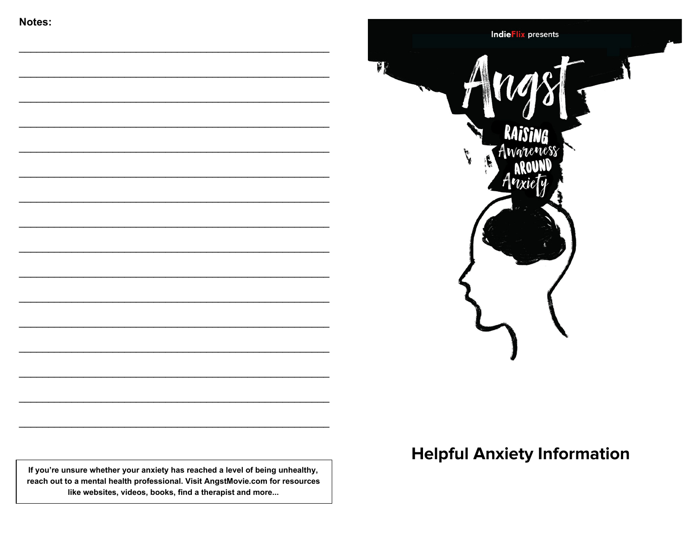



**Helpful Anxiety Information** 

If you're unsure whether your anxiety has reached a level of being unhealthy, reach out to a mental health professional. Visit AngstMovie.com for resources like websites, videos, books, find a therapist and more...